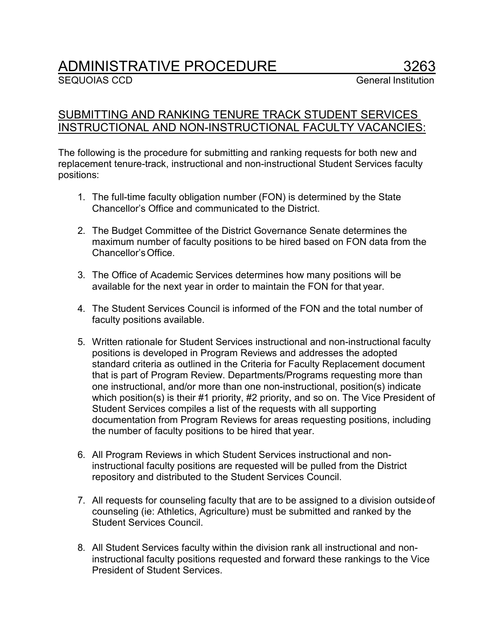## ADMINISTRATIVE PROCEDURE 3263<br>SEQUOIAS CCD General Institution

## SUBMITTING AND RANKING TENURE TRACK STUDENT SERVICES INSTRUCTIONAL AND NON-INSTRUCTIONAL FACULTY VACANCIES:

The following is the procedure for submitting and ranking requests for both new and replacement tenure-track, instructional and non-instructional Student Services faculty positions:

- 1. The full-time faculty obligation number (FON) is determined by the State Chancellor's Office and communicated to the District.
- 2. The Budget Committee of the District Governance Senate determines the maximum number of faculty positions to be hired based on FON data from the Chancellor'sOffice.
- 3. The Office of Academic Services determines how many positions will be available for the next year in order to maintain the FON for that year.
- 4. The Student Services Council is informed of the FON and the total number of faculty positions available.
- 5. Written rationale for Student Services instructional and non-instructional faculty positions is developed in Program Reviews and addresses the adopted standard criteria as outlined in the Criteria for Faculty Replacement document that is part of Program Review. Departments/Programs requesting more than one instructional, and/or more than one non-instructional, position(s) indicate which position(s) is their #1 priority, #2 priority, and so on. The Vice President of Student Services compiles a list of the requests with all supporting documentation from Program Reviews for areas requesting positions, including the number of faculty positions to be hired that year.
- 6. All Program Reviews in which Student Services instructional and noninstructional faculty positions are requested will be pulled from the District repository and distributed to the Student Services Council.
- 7. All requests for counseling faculty that are to be assigned to a division outsideof counseling (ie: Athletics, Agriculture) must be submitted and ranked by the Student Services Council.
- 8. All Student Services faculty within the division rank all instructional and noninstructional faculty positions requested and forward these rankings to the Vice President of Student Services.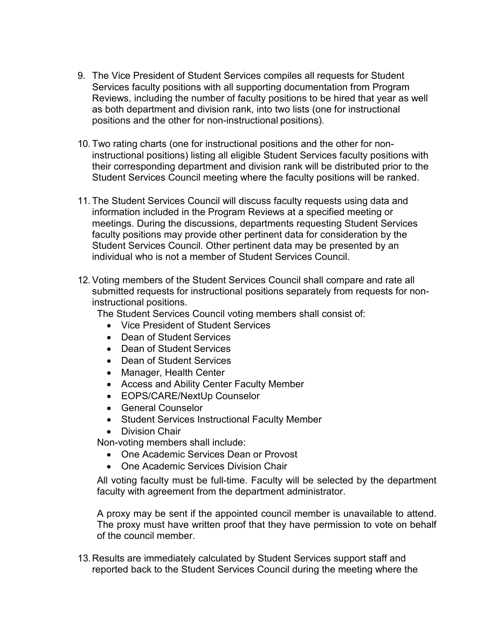- 9. The Vice President of Student Services compiles all requests for Student Services faculty positions with all supporting documentation from Program Reviews, including the number of faculty positions to be hired that year as well as both department and division rank, into two lists (one for instructional positions and the other for non-instructional positions).
- 10. Two rating charts (one for instructional positions and the other for noninstructional positions) listing all eligible Student Services faculty positions with their corresponding department and division rank will be distributed prior to the Student Services Council meeting where the faculty positions will be ranked.
- 11. The Student Services Council will discuss faculty requests using data and information included in the Program Reviews at a specified meeting or meetings. During the discussions, departments requesting Student Services faculty positions may provide other pertinent data for consideration by the Student Services Council. Other pertinent data may be presented by an individual who is not a member of Student Services Council.
- 12.Voting members of the Student Services Council shall compare and rate all submitted requests for instructional positions separately from requests for noninstructional positions.

The Student Services Council voting members shall consist of:

- Vice President of Student Services
- Dean of Student Services
- Dean of Student Services
- Dean of Student Services
- Manager, Health Center
- Access and Ability Center Faculty Member
- EOPS/CARE/NextUp Counselor
- General Counselor
- Student Services Instructional Faculty Member
- Division Chair

Non-voting members shall include:

- One Academic Services Dean or Provost
- One Academic Services Division Chair

All voting faculty must be full-time. Faculty will be selected by the department faculty with agreement from the department administrator.

A proxy may be sent if the appointed council member is unavailable to attend. The proxy must have written proof that they have permission to vote on behalf of the council member.

13.Results are immediately calculated by Student Services support staff and reported back to the Student Services Council during the meeting where the